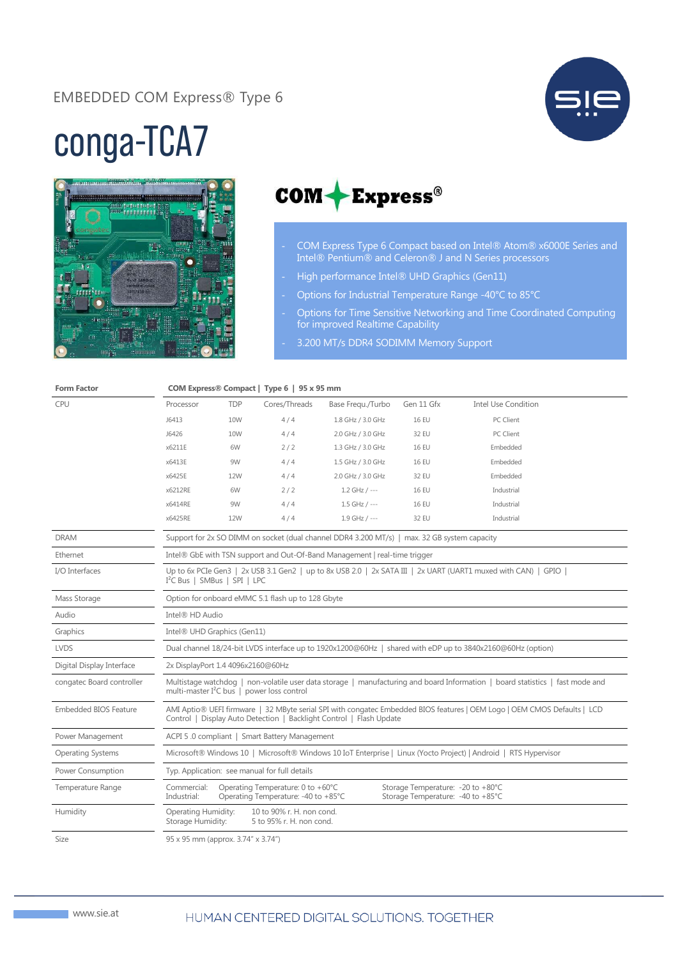## EMBEDDED COM Express® Type 6



## conga-TCA7





- COM Express Type 6 Compact based on Intel® Atom® x6000E Series and Intel® Pentium® and Celeron® J and N Series processors
- High performance Intel® UHD Graphics (Gen11)
- Options for Industrial Temperature Range -40°C to 85°C
- Options for Time Sensitive Networking and Time Coordinated Computing for improved Realtime Capability
- 3.200 MT/s DDR4 SODIMM Memory Support

| <b>Form Factor</b>           | COM Express® Compact   Type 6   95 x 95 mm                                                                                                                                                      |            |                                                                          |                   |                                                                        |                            |  |
|------------------------------|-------------------------------------------------------------------------------------------------------------------------------------------------------------------------------------------------|------------|--------------------------------------------------------------------------|-------------------|------------------------------------------------------------------------|----------------------------|--|
| CPU                          | Processor                                                                                                                                                                                       | <b>TDP</b> | Cores/Threads                                                            | Base Fregu./Turbo | Gen 11 Gfx                                                             | <b>Intel Use Condition</b> |  |
|                              | J6413                                                                                                                                                                                           | 10W        | 4/4                                                                      | 1.8 GHz / 3.0 GHz | <b>16 EU</b>                                                           | PC Client                  |  |
|                              | J6426                                                                                                                                                                                           | <b>10W</b> | 4/4                                                                      | 2.0 GHz / 3.0 GHz | 32 EU                                                                  | PC Client                  |  |
|                              | x6211E                                                                                                                                                                                          | 6W         | 2/2                                                                      | 1.3 GHz / 3.0 GHz | <b>16 EU</b>                                                           | Embedded                   |  |
|                              | x6413E                                                                                                                                                                                          | 9W         | 4/4                                                                      | 1.5 GHz / 3.0 GHz | <b>16 EU</b>                                                           | Embedded                   |  |
|                              | x6425E                                                                                                                                                                                          | 12W        | 4/4                                                                      | 2.0 GHz / 3.0 GHz | 32 EU                                                                  | Embedded                   |  |
|                              | x6212RE                                                                                                                                                                                         | 6W         | 2/2                                                                      | $1.2$ GHz / ---   | <b>16 EU</b>                                                           | Industrial                 |  |
|                              | x6414RE                                                                                                                                                                                         | 9W         | 4/4                                                                      | $1.5$ GHz / ---   | <b>16 EU</b>                                                           | Industrial                 |  |
|                              | x6425RE                                                                                                                                                                                         | 12W        | 4/4                                                                      | 1.9 GHz / ---     | 32 EU                                                                  | Industrial                 |  |
| <b>DRAM</b>                  | Support for 2x SO DIMM on socket (dual channel DDR4 3.200 MT/s)   max. 32 GB system capacity                                                                                                    |            |                                                                          |                   |                                                                        |                            |  |
| Ethernet                     | Intel® GbE with TSN support and Out-Of-Band Management   real-time trigger                                                                                                                      |            |                                                                          |                   |                                                                        |                            |  |
| I/O Interfaces               | Up to 6x PCIe Gen3   2x USB 3.1 Gen2   up to 8x USB 2.0   2x SATA III   2x UART (UART1 muxed with CAN)   GPIO  <br>I <sup>2</sup> C Bus   SMBus   SPI   LPC                                     |            |                                                                          |                   |                                                                        |                            |  |
| Mass Storage                 | Option for onboard eMMC 5.1 flash up to 128 Gbyte                                                                                                                                               |            |                                                                          |                   |                                                                        |                            |  |
| Audio                        | Intel® HD Audio                                                                                                                                                                                 |            |                                                                          |                   |                                                                        |                            |  |
| Graphics                     | Intel® UHD Graphics (Gen11)                                                                                                                                                                     |            |                                                                          |                   |                                                                        |                            |  |
| <b>LVDS</b>                  | Dual channel 18/24-bit LVDS interface up to 1920x1200@60Hz   shared with eDP up to 3840x2160@60Hz (option)                                                                                      |            |                                                                          |                   |                                                                        |                            |  |
| Digital Display Interface    | 2x DisplayPort 1.4 4096x2160@60Hz                                                                                                                                                               |            |                                                                          |                   |                                                                        |                            |  |
| congatec Board controller    | Multistage watchdog   non-volatile user data storage   manufacturing and board Information   board statistics   fast mode and<br>multi-master I <sup>2</sup> C bus   power loss control         |            |                                                                          |                   |                                                                        |                            |  |
| <b>Embedded BIOS Feature</b> | AMI Aptio® UEFI firmware   32 MByte serial SPI with congatec Embedded BIOS features   OEM Logo   OEM CMOS Defaults   LCD<br>Control   Display Auto Detection   Backlight Control   Flash Update |            |                                                                          |                   |                                                                        |                            |  |
| Power Management             | ACPI 5.0 compliant   Smart Battery Management                                                                                                                                                   |            |                                                                          |                   |                                                                        |                            |  |
| <b>Operating Systems</b>     | Microsoft® Windows 10   Microsoft® Windows 10 IoT Enterprise   Linux (Yocto Project)   Android   RTS Hypervisor                                                                                 |            |                                                                          |                   |                                                                        |                            |  |
| Power Consumption            | Typ. Application: see manual for full details                                                                                                                                                   |            |                                                                          |                   |                                                                        |                            |  |
| <b>Temperature Range</b>     | Commercial:<br>Industrial:                                                                                                                                                                      |            | Operating Temperature: 0 to +60°C<br>Operating Temperature: -40 to +85°C |                   | Storage Temperature: -20 to +80°C<br>Storage Temperature: -40 to +85°C |                            |  |
| Humidity                     | Operating Humidity:<br>10 to 90% r. H. non cond.<br>Storage Humidity:<br>5 to 95% r. H. non cond.                                                                                               |            |                                                                          |                   |                                                                        |                            |  |
| $\frac{1}{2}$                | $95 \times 95$ mm (annrox $374'' \times 374'$ )                                                                                                                                                 |            |                                                                          |                   |                                                                        |                            |  |

Size 95 x 95 mm (approx. 3.74" x 3.74")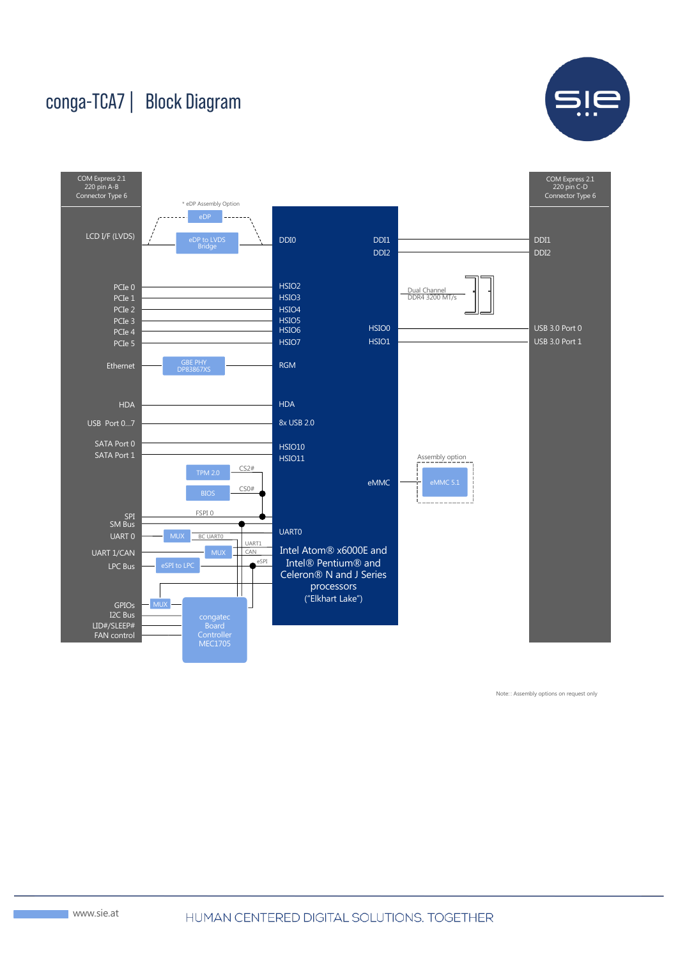## conga-TCA7 | Block Diagram





Note: : Assembly options on request only